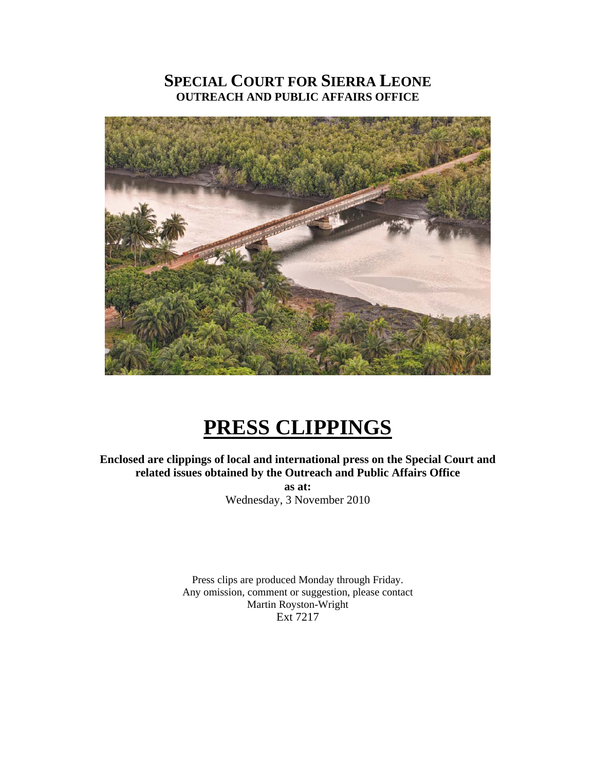# **SPECIAL COURT FOR SIERRA LEONE OUTREACH AND PUBLIC AFFAIRS OFFICE**



# **PRESS CLIPPINGS**

**Enclosed are clippings of local and international press on the Special Court and related issues obtained by the Outreach and Public Affairs Office as at:**  Wednesday, 3 November 2010

> Press clips are produced Monday through Friday. Any omission, comment or suggestion, please contact Martin Royston-Wright Ext 7217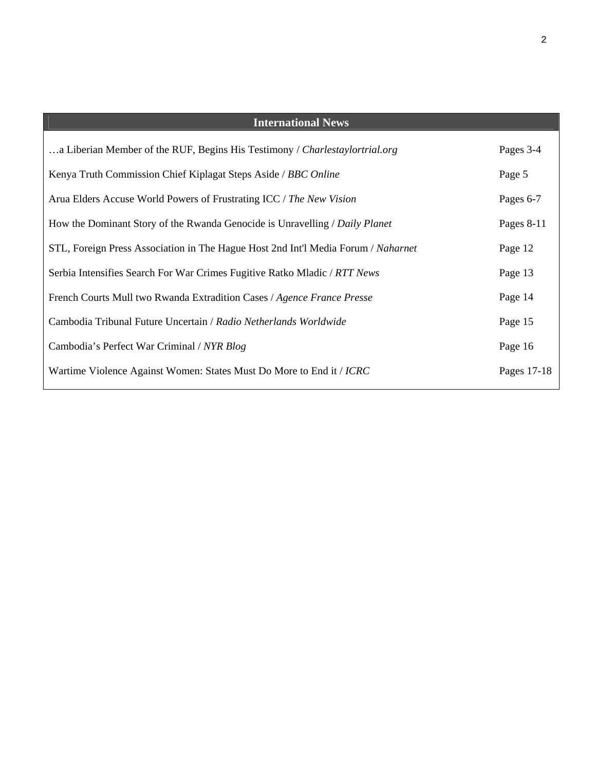| <b>International News</b>                                                         |             |
|-----------------------------------------------------------------------------------|-------------|
| a Liberian Member of the RUF, Begins His Testimony / Charlestaylortrial.org       | Pages 3-4   |
| Kenya Truth Commission Chief Kiplagat Steps Aside / BBC Online                    | Page 5      |
| Arua Elders Accuse World Powers of Frustrating ICC / The New Vision               | Pages 6-7   |
| How the Dominant Story of the Rwanda Genocide is Unravelling / Daily Planet       | Pages 8-11  |
| STL, Foreign Press Association in The Hague Host 2nd Int'l Media Forum / Naharnet | Page 12     |
| Serbia Intensifies Search For War Crimes Fugitive Ratko Mladic / RTT News         | Page 13     |
| French Courts Mull two Rwanda Extradition Cases / Agence France Presse            | Page 14     |
| Cambodia Tribunal Future Uncertain / Radio Netherlands Worldwide                  | Page 15     |
| Cambodia's Perfect War Criminal / NYR Blog                                        | Page 16     |
| Wartime Violence Against Women: States Must Do More to End it / ICRC              | Pages 17-18 |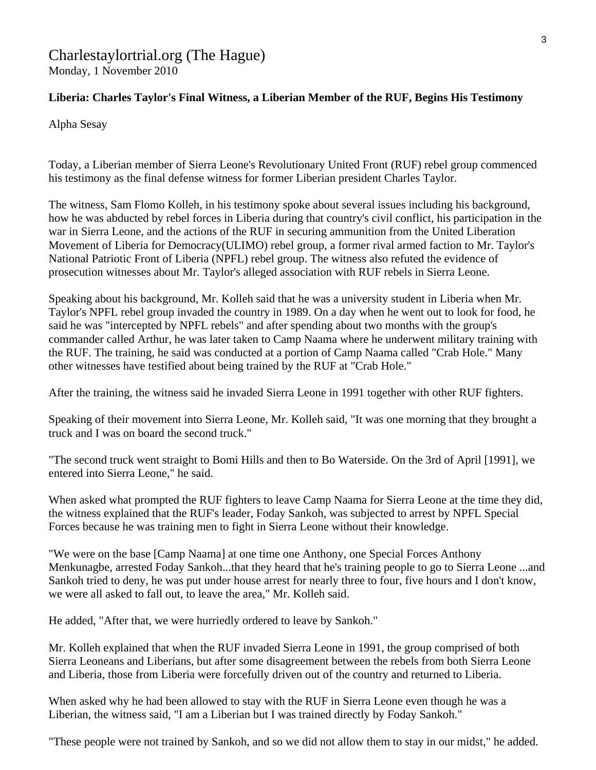#### Charlestaylortrial.org (The Hague) Monday, 1 November 2010

#### **Liberia: Charles Taylor's Final Witness, a Liberian Member of the RUF, Begins His Testimony**

Alpha Sesay

Today, a Liberian member of Sierra Leone's Revolutionary United Front (RUF) rebel group commenced his testimony as the final defense witness for former Liberian president Charles Taylor.

The witness, Sam Flomo Kolleh, in his testimony spoke about several issues including his background, how he was abducted by rebel forces in Liberia during that country's civil conflict, his participation in the war in Sierra Leone, and the actions of the RUF in securing ammunition from the United Liberation Movement of Liberia for Democracy(ULIMO) rebel group, a former rival armed faction to Mr. Taylor's National Patriotic Front of Liberia (NPFL) rebel group. The witness also refuted the evidence of prosecution witnesses about Mr. Taylor's alleged association with RUF rebels in Sierra Leone.

Speaking about his background, Mr. Kolleh said that he was a university student in Liberia when Mr. Taylor's NPFL rebel group invaded the country in 1989. On a day when he went out to look for food, he said he was "intercepted by NPFL rebels" and after spending about two months with the group's commander called Arthur, he was later taken to Camp Naama where he underwent military training with the RUF. The training, he said was conducted at a portion of Camp Naama called "Crab Hole." Many other witnesses have testified about being trained by the RUF at "Crab Hole."

After the training, the witness said he invaded Sierra Leone in 1991 together with other RUF fighters.

Speaking of their movement into Sierra Leone, Mr. Kolleh said, "It was one morning that they brought a truck and I was on board the second truck."

"The second truck went straight to Bomi Hills and then to Bo Waterside. On the 3rd of April [1991], we entered into Sierra Leone," he said.

When asked what prompted the RUF fighters to leave Camp Naama for Sierra Leone at the time they did, the witness explained that the RUF's leader, Foday Sankoh, was subjected to arrest by NPFL Special Forces because he was training men to fight in Sierra Leone without their knowledge.

"We were on the base [Camp Naama] at one time one Anthony, one Special Forces Anthony Menkunagbe, arrested Foday Sankoh...that they heard that he's training people to go to Sierra Leone ...and Sankoh tried to deny, he was put under house arrest for nearly three to four, five hours and I don't know, we were all asked to fall out, to leave the area," Mr. Kolleh said.

He added, "After that, we were hurriedly ordered to leave by Sankoh."

Mr. Kolleh explained that when the RUF invaded Sierra Leone in 1991, the group comprised of both Sierra Leoneans and Liberians, but after some disagreement between the rebels from both Sierra Leone and Liberia, those from Liberia were forcefully driven out of the country and returned to Liberia.

When asked why he had been allowed to stay with the RUF in Sierra Leone even though he was a Liberian, the witness said, "I am a Liberian but I was trained directly by Foday Sankoh."

"These people were not trained by Sankoh, and so we did not allow them to stay in our midst," he added.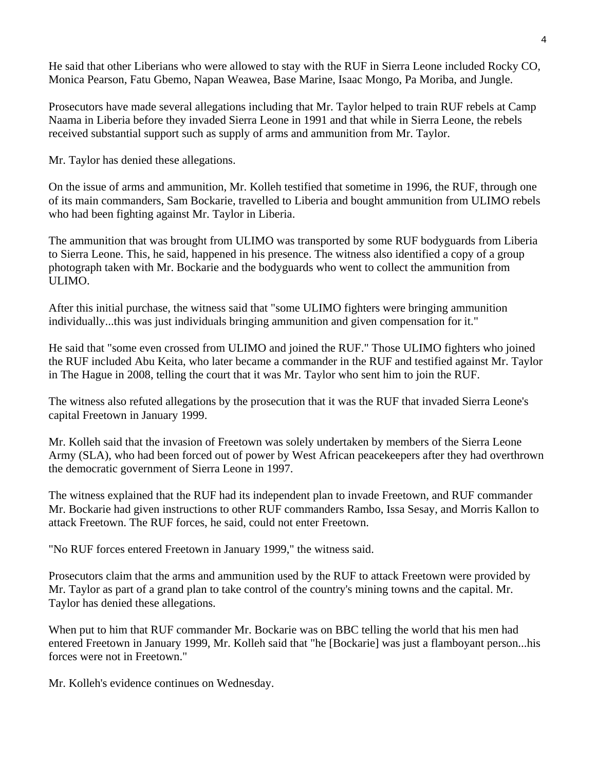He said that other Liberians who were allowed to stay with the RUF in Sierra Leone included Rocky CO, Monica Pearson, Fatu Gbemo, Napan Weawea, Base Marine, Isaac Mongo, Pa Moriba, and Jungle.

Prosecutors have made several allegations including that Mr. Taylor helped to train RUF rebels at Camp Naama in Liberia before they invaded Sierra Leone in 1991 and that while in Sierra Leone, the rebels received substantial support such as supply of arms and ammunition from Mr. Taylor.

Mr. Taylor has denied these allegations.

On the issue of arms and ammunition, Mr. Kolleh testified that sometime in 1996, the RUF, through one of its main commanders, Sam Bockarie, travelled to Liberia and bought ammunition from ULIMO rebels who had been fighting against Mr. Taylor in Liberia.

The ammunition that was brought from ULIMO was transported by some RUF bodyguards from Liberia to Sierra Leone. This, he said, happened in his presence. The witness also identified a copy of a group photograph taken with Mr. Bockarie and the bodyguards who went to collect the ammunition from ULIMO.

After this initial purchase, the witness said that "some ULIMO fighters were bringing ammunition individually...this was just individuals bringing ammunition and given compensation for it."

He said that "some even crossed from ULIMO and joined the RUF." Those ULIMO fighters who joined the RUF included Abu Keita, who later became a commander in the RUF and testified against Mr. Taylor in The Hague in 2008, telling the court that it was Mr. Taylor who sent him to join the RUF.

The witness also refuted allegations by the prosecution that it was the RUF that invaded Sierra Leone's capital Freetown in January 1999.

Mr. Kolleh said that the invasion of Freetown was solely undertaken by members of the Sierra Leone Army (SLA), who had been forced out of power by West African peacekeepers after they had overthrown the democratic government of Sierra Leone in 1997.

The witness explained that the RUF had its independent plan to invade Freetown, and RUF commander Mr. Bockarie had given instructions to other RUF commanders Rambo, Issa Sesay, and Morris Kallon to attack Freetown. The RUF forces, he said, could not enter Freetown.

"No RUF forces entered Freetown in January 1999," the witness said.

Prosecutors claim that the arms and ammunition used by the RUF to attack Freetown were provided by Mr. Taylor as part of a grand plan to take control of the country's mining towns and the capital. Mr. Taylor has denied these allegations.

When put to him that RUF commander Mr. Bockarie was on BBC telling the world that his men had entered Freetown in January 1999, Mr. Kolleh said that "he [Bockarie] was just a flamboyant person...his forces were not in Freetown."

Mr. Kolleh's evidence continues on Wednesday.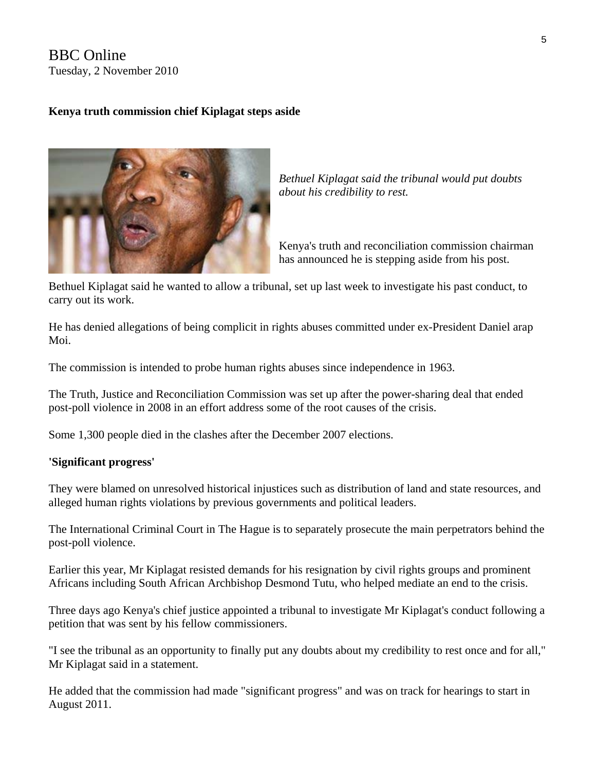## BBC Online Tuesday, 2 November 2010

#### **Kenya truth commission chief Kiplagat steps aside**



*Bethuel Kiplagat said the tribunal would put doubts about his credibility to rest.* 

Kenya's truth and reconciliation commission chairman has announced he is stepping aside from his post.

Bethuel Kiplagat said he wanted to allow a tribunal, set up last week to investigate his past conduct, to carry out its work.

He has denied allegations of being complicit in rights abuses committed under ex-President Daniel arap Moi.

The commission is intended to probe human rights abuses since independence in 1963.

The Truth, Justice and Reconciliation Commission was set up after the power-sharing deal that ended post-poll violence in 2008 in an effort address some of the root causes of the crisis.

Some 1,300 people died in the clashes after the December 2007 elections.

#### **'Significant progress'**

They were blamed on unresolved historical injustices such as distribution of land and state resources, and alleged human rights violations by previous governments and political leaders.

The International Criminal Court in The Hague is to separately prosecute the main perpetrators behind the post-poll violence.

Earlier this year, Mr Kiplagat resisted demands for his resignation by civil rights groups and prominent Africans including South African Archbishop Desmond Tutu, who helped mediate an end to the crisis.

Three days ago Kenya's chief justice appointed a tribunal to investigate Mr Kiplagat's conduct following a petition that was sent by his fellow commissioners.

"I see the tribunal as an opportunity to finally put any doubts about my credibility to rest once and for all," Mr Kiplagat said in a statement.

He added that the commission had made "significant progress" and was on track for hearings to start in August 2011.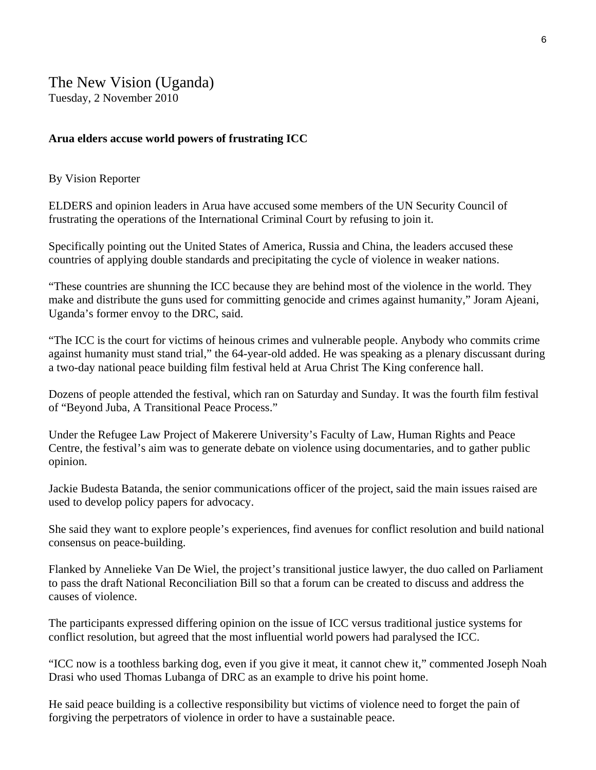#### **Arua elders accuse world powers of frustrating ICC**

#### By Vision Reporter

ELDERS and opinion leaders in Arua have accused some members of the UN Security Council of frustrating the operations of the International Criminal Court by refusing to join it.

Specifically pointing out the United States of America, Russia and China, the leaders accused these countries of applying double standards and precipitating the cycle of violence in weaker nations.

"These countries are shunning the ICC because they are behind most of the violence in the world. They make and distribute the guns used for committing genocide and crimes against humanity," Joram Ajeani, Uganda's former envoy to the DRC, said.

"The ICC is the court for victims of heinous crimes and vulnerable people. Anybody who commits crime against humanity must stand trial," the 64-year-old added. He was speaking as a plenary discussant during a two-day national peace building film festival held at Arua Christ The King conference hall.

Dozens of people attended the festival, which ran on Saturday and Sunday. It was the fourth film festival of "Beyond Juba, A Transitional Peace Process."

Under the Refugee Law Project of Makerere University's Faculty of Law, Human Rights and Peace Centre, the festival's aim was to generate debate on violence using documentaries, and to gather public opinion.

Jackie Budesta Batanda, the senior communications officer of the project, said the main issues raised are used to develop policy papers for advocacy.

She said they want to explore people's experiences, find avenues for conflict resolution and build national consensus on peace-building.

Flanked by Annelieke Van De Wiel, the project's transitional justice lawyer, the duo called on Parliament to pass the draft National Reconciliation Bill so that a forum can be created to discuss and address the causes of violence.

The participants expressed differing opinion on the issue of ICC versus traditional justice systems for conflict resolution, but agreed that the most influential world powers had paralysed the ICC.

"ICC now is a toothless barking dog, even if you give it meat, it cannot chew it," commented Joseph Noah Drasi who used Thomas Lubanga of DRC as an example to drive his point home.

He said peace building is a collective responsibility but victims of violence need to forget the pain of forgiving the perpetrators of violence in order to have a sustainable peace.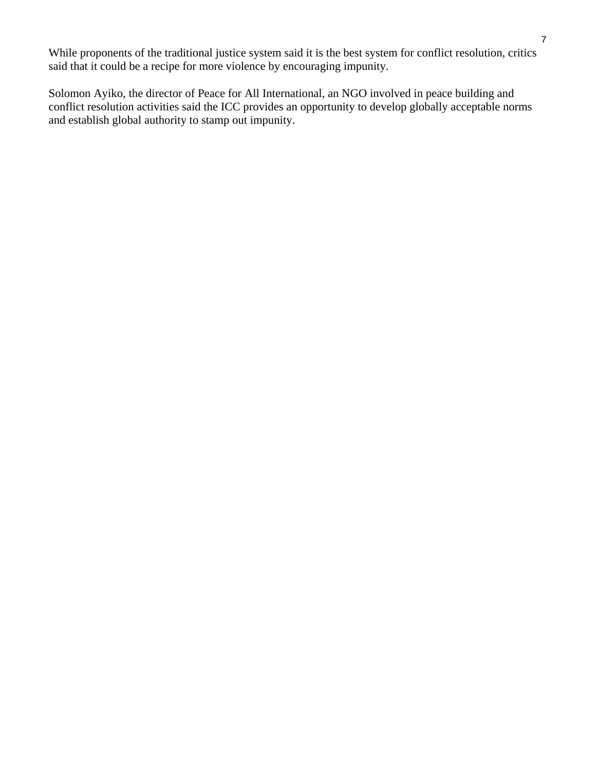While proponents of the traditional justice system said it is the best system for conflict resolution, critics said that it could be a recipe for more violence by encouraging impunity.

Solomon Ayiko, the director of Peace for All International, an NGO involved in peace building and conflict resolution activities said the ICC provides an opportunity to develop globally acceptable norms and establish global authority to stamp out impunity.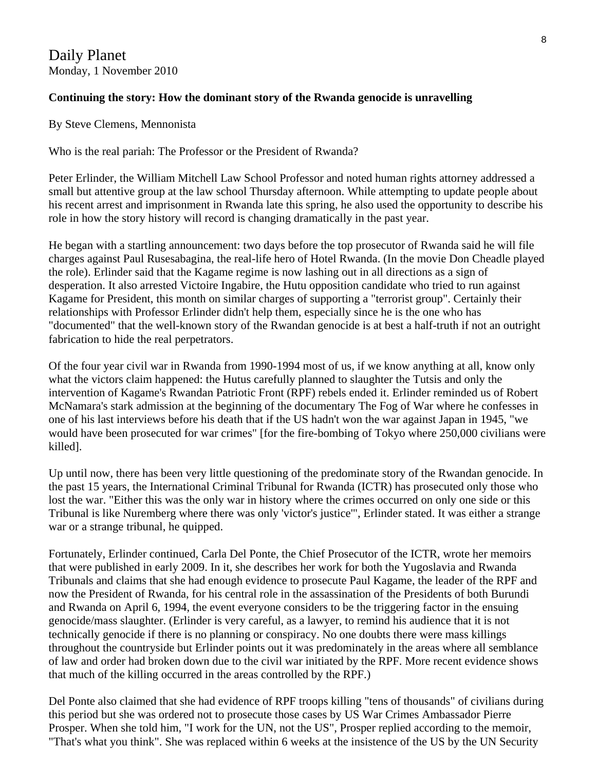## Daily Planet Monday, 1 November 2010

#### **Continuing the story: How the dominant story of the Rwanda genocide is unravelling**

By Steve Clemens, Mennonista

Who is the real pariah: The Professor or the President of Rwanda?

Peter Erlinder, the William Mitchell Law School Professor and noted human rights attorney addressed a small but attentive group at the law school Thursday afternoon. While attempting to update people about his recent arrest and imprisonment in Rwanda late this spring, he also used the opportunity to describe his role in how the story history will record is changing dramatically in the past year.

He began with a startling announcement: two days before the top prosecutor of Rwanda said he will file charges against Paul Rusesabagina, the real-life hero of Hotel Rwanda. (In the movie Don Cheadle played the role). Erlinder said that the Kagame regime is now lashing out in all directions as a sign of desperation. It also arrested Victoire Ingabire, the Hutu opposition candidate who tried to run against Kagame for President, this month on similar charges of supporting a "terrorist group". Certainly their relationships with Professor Erlinder didn't help them, especially since he is the one who has "documented" that the well-known story of the Rwandan genocide is at best a half-truth if not an outright fabrication to hide the real perpetrators.

Of the four year civil war in Rwanda from 1990-1994 most of us, if we know anything at all, know only what the victors claim happened: the Hutus carefully planned to slaughter the Tutsis and only the intervention of Kagame's Rwandan Patriotic Front (RPF) rebels ended it. Erlinder reminded us of Robert McNamara's stark admission at the beginning of the documentary The Fog of War where he confesses in one of his last interviews before his death that if the US hadn't won the war against Japan in 1945, "we would have been prosecuted for war crimes" [for the fire-bombing of Tokyo where 250,000 civilians were killed].

Up until now, there has been very little questioning of the predominate story of the Rwandan genocide. In the past 15 years, the International Criminal Tribunal for Rwanda (ICTR) has prosecuted only those who lost the war. "Either this was the only war in history where the crimes occurred on only one side or this Tribunal is like Nuremberg where there was only 'victor's justice'", Erlinder stated. It was either a strange war or a strange tribunal, he quipped.

Fortunately, Erlinder continued, Carla Del Ponte, the Chief Prosecutor of the ICTR, wrote her memoirs that were published in early 2009. In it, she describes her work for both the Yugoslavia and Rwanda Tribunals and claims that she had enough evidence to prosecute Paul Kagame, the leader of the RPF and now the President of Rwanda, for his central role in the assassination of the Presidents of both Burundi and Rwanda on April 6, 1994, the event everyone considers to be the triggering factor in the ensuing genocide/mass slaughter. (Erlinder is very careful, as a lawyer, to remind his audience that it is not technically genocide if there is no planning or conspiracy. No one doubts there were mass killings throughout the countryside but Erlinder points out it was predominately in the areas where all semblance of law and order had broken down due to the civil war initiated by the RPF. More recent evidence shows that much of the killing occurred in the areas controlled by the RPF.)

Del Ponte also claimed that she had evidence of RPF troops killing "tens of thousands" of civilians during this period but she was ordered not to prosecute those cases by US War Crimes Ambassador Pierre Prosper. When she told him, "I work for the UN, not the US", Prosper replied according to the memoir, "That's what you think". She was replaced within 6 weeks at the insistence of the US by the UN Security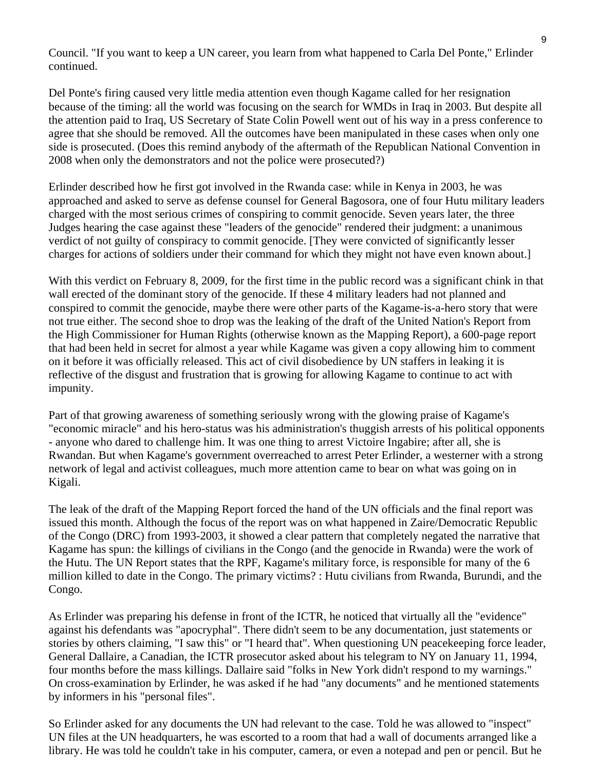Council. "If you want to keep a UN career, you learn from what happened to Carla Del Ponte," Erlinder continued.

Del Ponte's firing caused very little media attention even though Kagame called for her resignation because of the timing: all the world was focusing on the search for WMDs in Iraq in 2003. But despite all the attention paid to Iraq, US Secretary of State Colin Powell went out of his way in a press conference to agree that she should be removed. All the outcomes have been manipulated in these cases when only one side is prosecuted. (Does this remind anybody of the aftermath of the Republican National Convention in 2008 when only the demonstrators and not the police were prosecuted?)

Erlinder described how he first got involved in the Rwanda case: while in Kenya in 2003, he was approached and asked to serve as defense counsel for General Bagosora, one of four Hutu military leaders charged with the most serious crimes of conspiring to commit genocide. Seven years later, the three Judges hearing the case against these "leaders of the genocide" rendered their judgment: a unanimous verdict of not guilty of conspiracy to commit genocide. [They were convicted of significantly lesser charges for actions of soldiers under their command for which they might not have even known about.]

With this verdict on February 8, 2009, for the first time in the public record was a significant chink in that wall erected of the dominant story of the genocide. If these 4 military leaders had not planned and conspired to commit the genocide, maybe there were other parts of the Kagame-is-a-hero story that were not true either. The second shoe to drop was the leaking of the draft of the United Nation's Report from the High Commissioner for Human Rights (otherwise known as the Mapping Report), a 600-page report that had been held in secret for almost a year while Kagame was given a copy allowing him to comment on it before it was officially released. This act of civil disobedience by UN staffers in leaking it is reflective of the disgust and frustration that is growing for allowing Kagame to continue to act with impunity.

Part of that growing awareness of something seriously wrong with the glowing praise of Kagame's "economic miracle" and his hero-status was his administration's thuggish arrests of his political opponents - anyone who dared to challenge him. It was one thing to arrest Victoire Ingabire; after all, she is Rwandan. But when Kagame's government overreached to arrest Peter Erlinder, a westerner with a strong network of legal and activist colleagues, much more attention came to bear on what was going on in Kigali.

The leak of the draft of the Mapping Report forced the hand of the UN officials and the final report was issued this month. Although the focus of the report was on what happened in Zaire/Democratic Republic of the Congo (DRC) from 1993-2003, it showed a clear pattern that completely negated the narrative that Kagame has spun: the killings of civilians in the Congo (and the genocide in Rwanda) were the work of the Hutu. The UN Report states that the RPF, Kagame's military force, is responsible for many of the 6 million killed to date in the Congo. The primary victims? : Hutu civilians from Rwanda, Burundi, and the Congo.

As Erlinder was preparing his defense in front of the ICTR, he noticed that virtually all the "evidence" against his defendants was "apocryphal". There didn't seem to be any documentation, just statements or stories by others claiming, "I saw this" or "I heard that". When questioning UN peacekeeping force leader, General Dallaire, a Canadian, the ICTR prosecutor asked about his telegram to NY on January 11, 1994, four months before the mass killings. Dallaire said "folks in New York didn't respond to my warnings." On cross-examination by Erlinder, he was asked if he had "any documents" and he mentioned statements by informers in his "personal files".

So Erlinder asked for any documents the UN had relevant to the case. Told he was allowed to "inspect" UN files at the UN headquarters, he was escorted to a room that had a wall of documents arranged like a library. He was told he couldn't take in his computer, camera, or even a notepad and pen or pencil. But he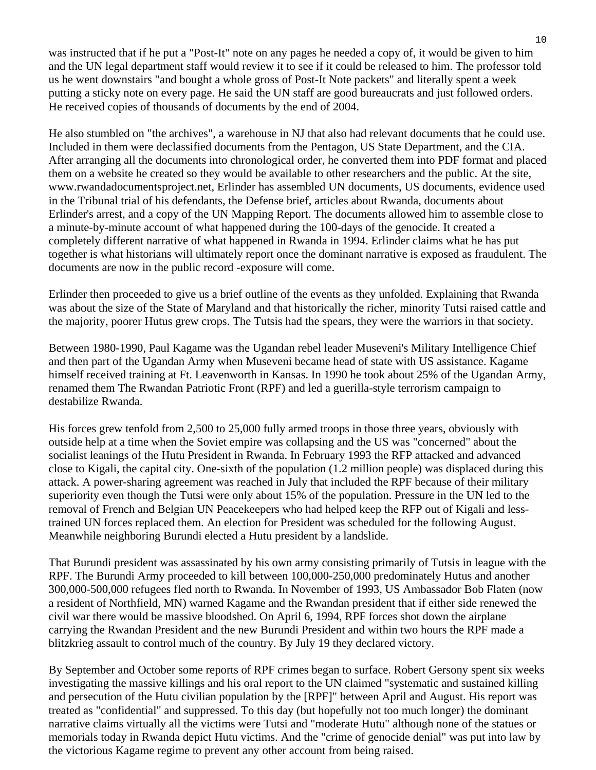was instructed that if he put a "Post-It" note on any pages he needed a copy of, it would be given to him and the UN legal department staff would review it to see if it could be released to him. The professor told us he went downstairs "and bought a whole gross of Post-It Note packets" and literally spent a week putting a sticky note on every page. He said the UN staff are good bureaucrats and just followed orders. He received copies of thousands of documents by the end of 2004.

He also stumbled on "the archives", a warehouse in NJ that also had relevant documents that he could use. Included in them were declassified documents from the Pentagon, US State Department, and the CIA. After arranging all the documents into chronological order, he converted them into PDF format and placed them on a website he created so they would be available to other researchers and the public. At the site, www.rwandadocumentsproject.net, Erlinder has assembled UN documents, US documents, evidence used in the Tribunal trial of his defendants, the Defense brief, articles about Rwanda, documents about Erlinder's arrest, and a copy of the UN Mapping Report. The documents allowed him to assemble close to a minute-by-minute account of what happened during the 100-days of the genocide. It created a completely different narrative of what happened in Rwanda in 1994. Erlinder claims what he has put together is what historians will ultimately report once the dominant narrative is exposed as fraudulent. The documents are now in the public record -exposure will come.

Erlinder then proceeded to give us a brief outline of the events as they unfolded. Explaining that Rwanda was about the size of the State of Maryland and that historically the richer, minority Tutsi raised cattle and the majority, poorer Hutus grew crops. The Tutsis had the spears, they were the warriors in that society.

Between 1980-1990, Paul Kagame was the Ugandan rebel leader Museveni's Military Intelligence Chief and then part of the Ugandan Army when Museveni became head of state with US assistance. Kagame himself received training at Ft. Leavenworth in Kansas. In 1990 he took about 25% of the Ugandan Army, renamed them The Rwandan Patriotic Front (RPF) and led a guerilla-style terrorism campaign to destabilize Rwanda.

His forces grew tenfold from 2,500 to 25,000 fully armed troops in those three years, obviously with outside help at a time when the Soviet empire was collapsing and the US was "concerned" about the socialist leanings of the Hutu President in Rwanda. In February 1993 the RFP attacked and advanced close to Kigali, the capital city. One-sixth of the population (1.2 million people) was displaced during this attack. A power-sharing agreement was reached in July that included the RPF because of their military superiority even though the Tutsi were only about 15% of the population. Pressure in the UN led to the removal of French and Belgian UN Peacekeepers who had helped keep the RFP out of Kigali and lesstrained UN forces replaced them. An election for President was scheduled for the following August. Meanwhile neighboring Burundi elected a Hutu president by a landslide.

That Burundi president was assassinated by his own army consisting primarily of Tutsis in league with the RPF. The Burundi Army proceeded to kill between 100,000-250,000 predominately Hutus and another 300,000-500,000 refugees fled north to Rwanda. In November of 1993, US Ambassador Bob Flaten (now a resident of Northfield, MN) warned Kagame and the Rwandan president that if either side renewed the civil war there would be massive bloodshed. On April 6, 1994, RPF forces shot down the airplane carrying the Rwandan President and the new Burundi President and within two hours the RPF made a blitzkrieg assault to control much of the country. By July 19 they declared victory.

By September and October some reports of RPF crimes began to surface. Robert Gersony spent six weeks investigating the massive killings and his oral report to the UN claimed "systematic and sustained killing and persecution of the Hutu civilian population by the [RPF]" between April and August. His report was treated as "confidential" and suppressed. To this day (but hopefully not too much longer) the dominant narrative claims virtually all the victims were Tutsi and "moderate Hutu" although none of the statues or memorials today in Rwanda depict Hutu victims. And the "crime of genocide denial" was put into law by the victorious Kagame regime to prevent any other account from being raised.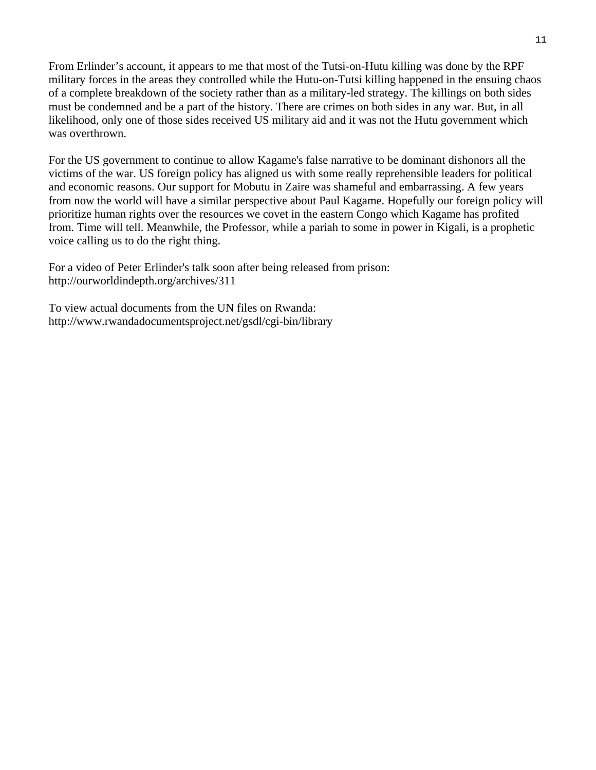From Erlinder's account, it appears to me that most of the Tutsi-on-Hutu killing was done by the RPF military forces in the areas they controlled while the Hutu-on-Tutsi killing happened in the ensuing chaos of a complete breakdown of the society rather than as a military-led strategy. The killings on both sides must be condemned and be a part of the history. There are crimes on both sides in any war. But, in all likelihood, only one of those sides received US military aid and it was not the Hutu government which was overthrown.

For the US government to continue to allow Kagame's false narrative to be dominant dishonors all the victims of the war. US foreign policy has aligned us with some really reprehensible leaders for political and economic reasons. Our support for Mobutu in Zaire was shameful and embarrassing. A few years from now the world will have a similar perspective about Paul Kagame. Hopefully our foreign policy will prioritize human rights over the resources we covet in the eastern Congo which Kagame has profited from. Time will tell. Meanwhile, the Professor, while a pariah to some in power in Kigali, is a prophetic voice calling us to do the right thing.

For a video of Peter Erlinder's talk soon after being released from prison: http://ourworldindepth.org/archives/311

To view actual documents from the UN files on Rwanda: http://www.rwandadocumentsproject.net/gsdl/cgi-bin/library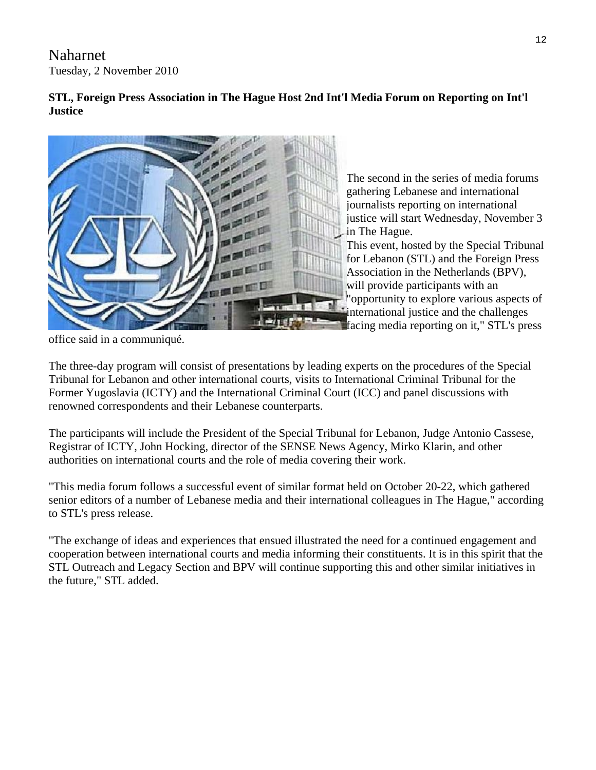Naharnet Tuesday, 2 November 2010

# **STL, Foreign Press Association in The Hague Host 2nd Int'l Media Forum on Reporting on Int'l Justice**



The second in the series of media forums gathering Lebanese and international journalists reporting on international justice will start Wednesday, November 3 in The Hague.

This event, hosted by the Special Tribunal for Lebanon (STL) and the Foreign Press Association in the Netherlands (BPV), will provide participants with an "opportunity to explore various aspects of international justice and the challenges facing media reporting on it," STL's press

office said in a communiqué.

The three-day program will consist of presentations by leading experts on the procedures of the Special Tribunal for Lebanon and other international courts, visits to International Criminal Tribunal for the Former Yugoslavia (ICTY) and the International Criminal Court (ICC) and panel discussions with renowned correspondents and their Lebanese counterparts.

The participants will include the President of the Special Tribunal for Lebanon, Judge Antonio Cassese, Registrar of ICTY, John Hocking, director of the SENSE News Agency, Mirko Klarin, and other authorities on international courts and the role of media covering their work.

"This media forum follows a successful event of similar format held on October 20-22, which gathered senior editors of a number of Lebanese media and their international colleagues in The Hague," according to STL's press release.

"The exchange of ideas and experiences that ensued illustrated the need for a continued engagement and cooperation between international courts and media informing their constituents. It is in this spirit that the STL Outreach and Legacy Section and BPV will continue supporting this and other similar initiatives in the future," STL added.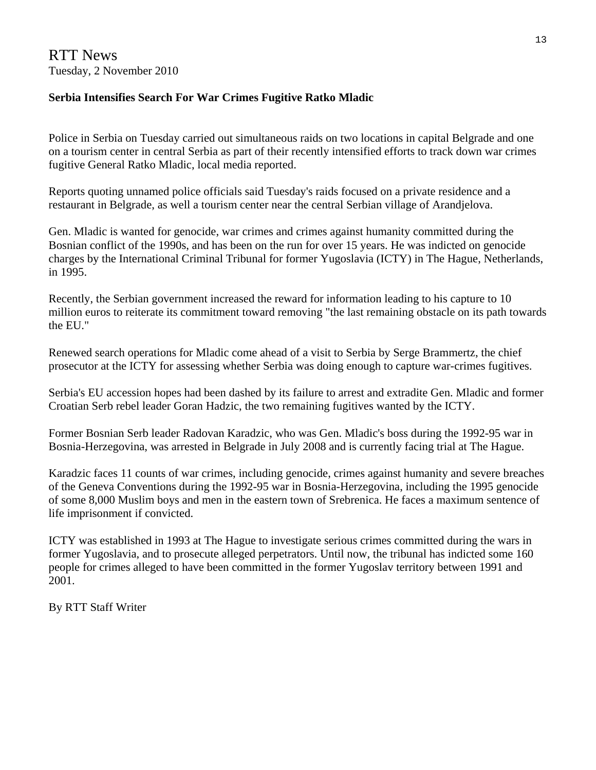## **Serbia Intensifies Search For War Crimes Fugitive Ratko Mladic**

Police in Serbia on Tuesday carried out simultaneous raids on two locations in capital Belgrade and one on a tourism center in central Serbia as part of their recently intensified efforts to track down war crimes fugitive General Ratko Mladic, local media reported.

Reports quoting unnamed police officials said Tuesday's raids focused on a private residence and a restaurant in Belgrade, as well a tourism center near the central Serbian village of Arandjelova.

Gen. Mladic is wanted for genocide, war crimes and crimes against humanity committed during the Bosnian conflict of the 1990s, and has been on the run for over 15 years. He was indicted on genocide charges by the International Criminal Tribunal for former Yugoslavia (ICTY) in The Hague, Netherlands, in 1995.

Recently, the Serbian government increased the reward for information leading to his capture to 10 million euros to reiterate its commitment toward removing "the last remaining obstacle on its path towards the EU."

Renewed search operations for Mladic come ahead of a visit to Serbia by Serge Brammertz, the chief prosecutor at the ICTY for assessing whether Serbia was doing enough to capture war-crimes fugitives.

Serbia's EU accession hopes had been dashed by its failure to arrest and extradite Gen. Mladic and former Croatian Serb rebel leader Goran Hadzic, the two remaining fugitives wanted by the ICTY.

Former Bosnian Serb leader Radovan Karadzic, who was Gen. Mladic's boss during the 1992-95 war in Bosnia-Herzegovina, was arrested in Belgrade in July 2008 and is currently facing trial at The Hague.

Karadzic faces 11 counts of war crimes, including genocide, crimes against humanity and severe breaches of the Geneva Conventions during the 1992-95 war in Bosnia-Herzegovina, including the 1995 genocide of some 8,000 Muslim boys and men in the eastern town of Srebrenica. He faces a maximum sentence of life imprisonment if convicted.

ICTY was established in 1993 at The Hague to investigate serious crimes committed during the wars in former Yugoslavia, and to prosecute alleged perpetrators. Until now, the tribunal has indicted some 160 people for crimes alleged to have been committed in the former Yugoslav territory between 1991 and 2001.

By RTT Staff Writer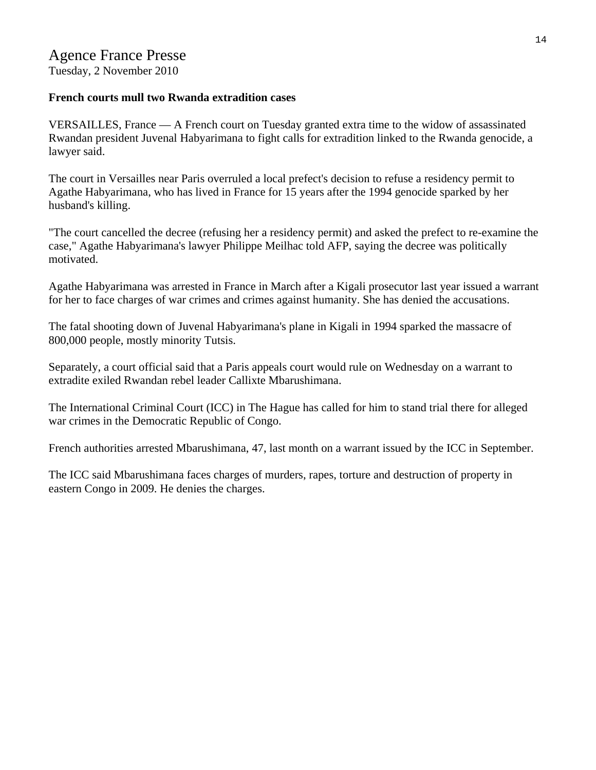#### **French courts mull two Rwanda extradition cases**

VERSAILLES, France — A French court on Tuesday granted extra time to the widow of assassinated Rwandan president Juvenal Habyarimana to fight calls for extradition linked to the Rwanda genocide, a lawyer said.

The court in Versailles near Paris overruled a local prefect's decision to refuse a residency permit to Agathe Habyarimana, who has lived in France for 15 years after the 1994 genocide sparked by her husband's killing.

"The court cancelled the decree (refusing her a residency permit) and asked the prefect to re-examine the case," Agathe Habyarimana's lawyer Philippe Meilhac told AFP, saying the decree was politically motivated.

Agathe Habyarimana was arrested in France in March after a Kigali prosecutor last year issued a warrant for her to face charges of war crimes and crimes against humanity. She has denied the accusations.

The fatal shooting down of Juvenal Habyarimana's plane in Kigali in 1994 sparked the massacre of 800,000 people, mostly minority Tutsis.

Separately, a court official said that a Paris appeals court would rule on Wednesday on a warrant to extradite exiled Rwandan rebel leader Callixte Mbarushimana.

The International Criminal Court (ICC) in The Hague has called for him to stand trial there for alleged war crimes in the Democratic Republic of Congo.

French authorities arrested Mbarushimana, 47, last month on a warrant issued by the ICC in September.

The ICC said Mbarushimana faces charges of murders, rapes, torture and destruction of property in eastern Congo in 2009. He denies the charges.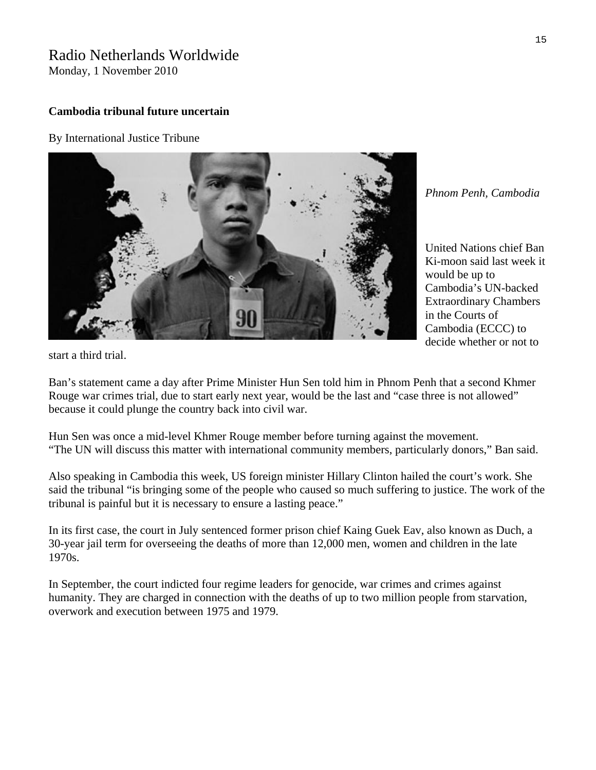# Radio Netherlands Worldwide

Monday, 1 November 2010

#### **Cambodia tribunal future uncertain**

By [International Justice Tribune](http://www.rnw.nl/international-justice/users/international-justice-tribune) 



*Phnom Penh, Cambodia* 

United Nations chief Ban Ki-moon said last week it would be up to Cambodia's UN-backed Extraordinary Chambers in the Courts of Cambodia (ECCC) to decide whether or not to

start a third trial.

Ban's statement came a day after Prime Minister Hun Sen told him in Phnom Penh that a second Khmer Rouge war crimes trial, due to start early next year, would be the last and "case three is not allowed" because it could plunge the country back into civil war.

Hun Sen was once a mid-level Khmer Rouge member before turning against the movement. "The UN will discuss this matter with international community members, particularly donors," Ban said.

Also speaking in Cambodia this week, US foreign minister Hillary Clinton hailed the court's work. She said the tribunal "is bringing some of the people who caused so much suffering to justice. The work of the tribunal is painful but it is necessary to ensure a lasting peace."

In its first case, the court in July sentenced former prison chief Kaing Guek Eav, also known as Duch, a 30-year jail term for overseeing the deaths of more than 12,000 men, women and children in the late 1970s.

In September, the court indicted four regime leaders for genocide, war crimes and crimes against humanity. They are charged in connection with the deaths of up to two million people from starvation, overwork and execution between 1975 and 1979.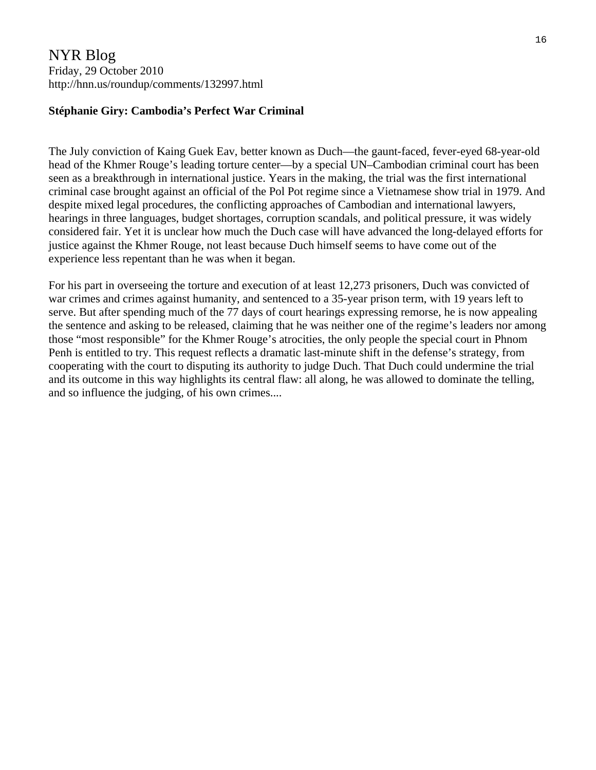# NYR Blog Friday, 29 October 2010 http://hnn.us/roundup/comments/132997.html

#### **Stéphanie Giry: Cambodia's Perfect War Criminal**

The July conviction of Kaing Guek Eav, better known as Duch—the gaunt-faced, fever-eyed 68-year-old head of the Khmer Rouge's leading torture center—by a special UN–Cambodian criminal court has been seen as a breakthrough in international justice. Years in the making, the trial was the first international criminal case brought against an official of the Pol Pot regime since a Vietnamese show trial in 1979. And despite mixed legal procedures, the conflicting approaches of Cambodian and international lawyers, hearings in three languages, budget shortages, corruption scandals, and political pressure, it was widely considered fair. Yet it is unclear how much the Duch case will have advanced the long-delayed efforts for justice against the Khmer Rouge, not least because Duch himself seems to have come out of the experience less repentant than he was when it began.

For his part in overseeing the torture and execution of at least 12,273 prisoners, Duch was convicted of war crimes and crimes against humanity, and sentenced to a 35-year prison term, with 19 years left to serve. But after spending much of the 77 days of court hearings expressing remorse, he is now appealing the sentence and asking to be released, claiming that he was neither one of the regime's leaders nor among those "most responsible" for the Khmer Rouge's atrocities, the only people the special court in Phnom Penh is entitled to try. This request reflects a dramatic last-minute shift in the defense's strategy, from cooperating with the court to disputing its authority to judge Duch. That Duch could undermine the trial and its outcome in this way highlights its central flaw: all along, he was allowed to dominate the telling, and so influence the judging, of his own crimes....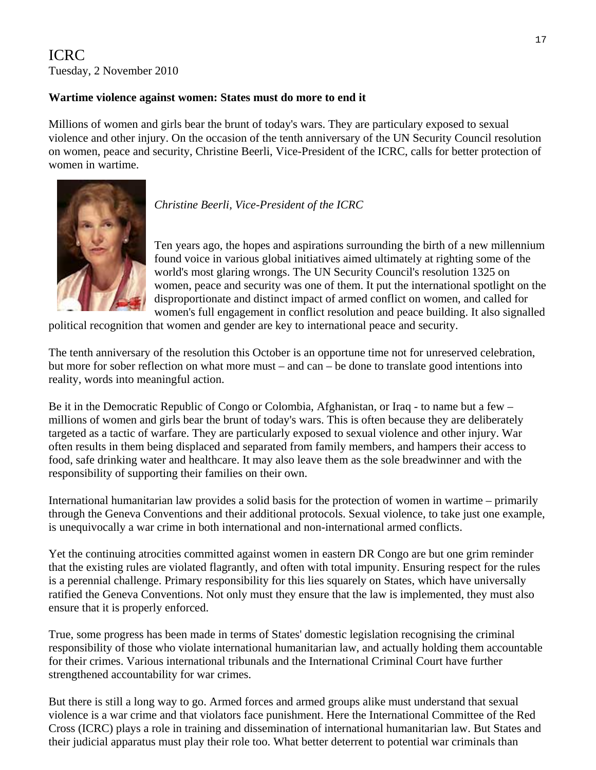# ICRC Tuesday, 2 November 2010

#### **Wartime violence against women: States must do more to end it**

Millions of women and girls bear the brunt of today's wars. They are particulary exposed to sexual violence and other injury. On the occasion of the tenth anniversary of the UN Security Council resolution on women, peace and security, Christine Beerli, Vice-President of the ICRC, calls for better protection of women in wartime.



*Christine Beerli, Vice-President of the ICRC* 

Ten years ago, the hopes and aspirations surrounding the birth of a new millennium found voice in various global initiatives aimed ultimately at righting some of the world's most glaring wrongs. The UN Security Council's resolution 1325 on women, peace and security was one of them. It put the international spotlight on the disproportionate and distinct impact of armed conflict on women, and called for women's full engagement in conflict resolution and peace building. It also signalled

political recognition that women and gender are key to international peace and security.

The tenth anniversary of the resolution this October is an opportune time not for unreserved celebration, but more for sober reflection on what more must – and can – be done to translate good intentions into reality, words into meaningful action.

Be it in the Democratic Republic of Congo or Colombia, Afghanistan, or Iraq - to name but a few – millions of women and girls bear the brunt of today's wars. This is often because they are deliberately targeted as a tactic of warfare. They are particularly exposed to sexual violence and other injury. War often results in them being displaced and separated from family members, and hampers their access to food, safe drinking water and healthcare. It may also leave them as the sole breadwinner and with the responsibility of supporting their families on their own.

International humanitarian law provides a solid basis for the protection of women in wartime – primarily through the Geneva Conventions and their additional protocols. Sexual violence, to take just one example, is unequivocally a war crime in both international and non-international armed conflicts.

Yet the continuing atrocities committed against women in eastern DR Congo are but one grim reminder that the existing rules are violated flagrantly, and often with total impunity. Ensuring respect for the rules is a perennial challenge. Primary responsibility for this lies squarely on States, which have universally ratified the Geneva Conventions. Not only must they ensure that the law is implemented, they must also ensure that it is properly enforced.

True, some progress has been made in terms of States' domestic legislation recognising the criminal responsibility of those who violate international humanitarian law, and actually holding them accountable for their crimes. Various international tribunals and the International Criminal Court have further strengthened accountability for war crimes.

But there is still a long way to go. Armed forces and armed groups alike must understand that sexual violence is a war crime and that violators face punishment. Here the International Committee of the Red Cross (ICRC) plays a role in training and dissemination of international humanitarian law. But States and their judicial apparatus must play their role too. What better deterrent to potential war criminals than